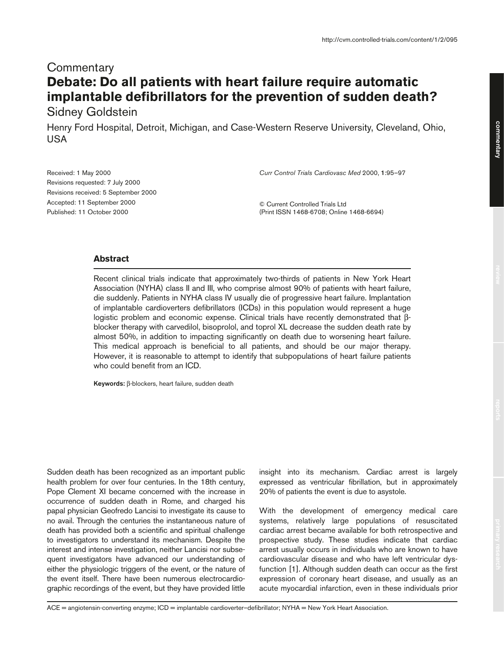## **Commentary Debate: Do all patients with heart failure require automatic implantable defibrillators for the prevention of sudden death?**

Sidney Goldstein

Henry Ford Hospital, Detroit, Michigan, and Case-Western Reserve University, Cleveland, Ohio, USA

Received: 1 May 2000 Revisions requested: 7 July 2000 Revisions received: 5 September 2000 Accepted: 11 September 2000 Published: 11 October 2000

*Curr Control Trials Cardiovasc Med* 2000, **1**:95–97

© Current Controlled Trials Ltd (Print ISSN 1468-6708; Online 1468-6694)

## **Abstract**

Recent clinical trials indicate that approximately two-thirds of patients in New York Heart Association (NYHA) class II and III, who comprise almost 90% of patients with heart failure, die suddenly. Patients in NYHA class IV usually die of progressive heart failure. Implantation of implantable cardioverters defibrillators (ICDs) in this population would represent a huge logistic problem and economic expense. Clinical trials have recently demonstrated that βblocker therapy with carvedilol, bisoprolol, and toprol XL decrease the sudden death rate by almost 50%, in addition to impacting significantly on death due to worsening heart failure. This medical approach is beneficial to all patients, and should be our major therapy. However, it is reasonable to attempt to identify that subpopulations of heart failure patients who could benefit from an ICD.

**Keywords:** β-blockers, heart failure, sudden death

Sudden death has been recognized as an important public health problem for over four centuries. In the 18th century, Pope Clement XI became concerned with the increase in occurrence of sudden death in Rome, and charged his papal physician Geofredo Lancisi to investigate its cause to no avail. Through the centuries the instantaneous nature of death has provided both a scientific and spiritual challenge to investigators to understand its mechanism. Despite the interest and intense investigation, neither Lancisi nor subsequent investigators have advanced our understanding of either the physiologic triggers of the event, or the nature of the event itself. There have been numerous electrocardiographic recordings of the event, but they have provided little

insight into its mechanism. Cardiac arrest is largely expressed as ventricular fibrillation, but in approximately 20% of patients the event is due to asystole.

With the development of emergency medical care systems, relatively large populations of resuscitated cardiac arrest became available for both retrospective and prospective study. These studies indicate that cardiac arrest usually occurs in individuals who are known to have cardiovascular disease and who have left ventricular dysfunction [1]. Although sudden death can occur as the first expression of coronary heart disease, and usually as an acute myocardial infarction, even in these individuals prior

ACE = angiotensin-converting enzyme; ICD = implantable cardioverter–defibrillator; NYHA = New York Heart Association.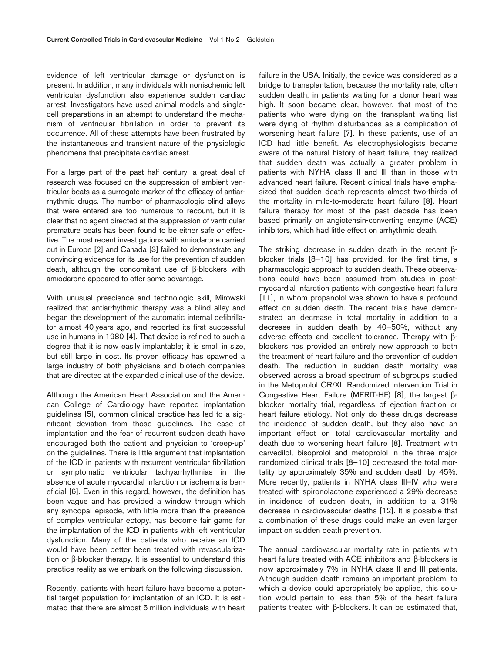evidence of left ventricular damage or dysfunction is present. In addition, many individuals with nonischemic left ventricular dysfunction also experience sudden cardiac arrest. Investigators have used animal models and singlecell preparations in an attempt to understand the mechanism of ventricular fibrillation in order to prevent its occurrence. All of these attempts have been frustrated by the instantaneous and transient nature of the physiologic phenomena that precipitate cardiac arrest.

For a large part of the past half century, a great deal of research was focused on the suppression of ambient ventricular beats as a surrogate marker of the efficacy of antiarrhythmic drugs. The number of pharmacologic blind alleys that were entered are too numerous to recount, but it is clear that no agent directed at the suppression of ventricular premature beats has been found to be either safe or effective. The most recent investigations with amiodarone carried out in Europe [2] and Canada [3] failed to demonstrate any convincing evidence for its use for the prevention of sudden death, although the concomitant use of β-blockers with amiodarone appeared to offer some advantage.

With unusual prescience and technologic skill, Mirowski realized that antiarrhythmic therapy was a blind alley and began the development of the automatic internal defibrillator almost 40 years ago, and reported its first successful use in humans in 1980 [4]. That device is refined to such a degree that it is now easily implantable; it is small in size, but still large in cost. Its proven efficacy has spawned a large industry of both physicians and biotech companies that are directed at the expanded clinical use of the device.

Although the American Heart Association and the American College of Cardiology have reported implantation guidelines [5], common clinical practice has led to a significant deviation from those guidelines. The ease of implantation and the fear of recurrent sudden death have encouraged both the patient and physician to 'creep-up' on the guidelines. There is little argument that implantation of the ICD in patients with recurrent ventricular fibrillation or symptomatic ventricular tachyarrhythmias in the absence of acute myocardial infarction or ischemia is beneficial [6]. Even in this regard, however, the definition has been vague and has provided a window through which any syncopal episode, with little more than the presence of complex ventricular ectopy, has become fair game for the implantation of the ICD in patients with left ventricular dysfunction. Many of the patients who receive an ICD would have been better been treated with revascularization or β-blocker therapy. It is essential to understand this practice reality as we embark on the following discussion.

Recently, patients with heart failure have become a potential target population for implantation of an ICD. It is estimated that there are almost 5 million individuals with heart failure in the USA. Initially, the device was considered as a bridge to transplantation, because the mortality rate, often sudden death, in patients waiting for a donor heart was high. It soon became clear, however, that most of the patients who were dying on the transplant waiting list were dying of rhythm disturbances as a complication of worsening heart failure [7]. In these patients, use of an ICD had little benefit. As electrophysiologists became aware of the natural history of heart failure, they realized that sudden death was actually a greater problem in patients with NYHA class II and III than in those with advanced heart failure. Recent clinical trials have emphasized that sudden death represents almost two-thirds of the mortality in mild-to-moderate heart failure [8]. Heart failure therapy for most of the past decade has been based primarily on angiotensin-converting enzyme (ACE) inhibitors, which had little effect on arrhythmic death.

The striking decrease in sudden death in the recent βblocker trials [8–10] has provided, for the first time, a pharmacologic approach to sudden death. These observations could have been assumed from studies in postmyocardial infarction patients with congestive heart failure [11], in whom propanolol was shown to have a profound effect on sudden death. The recent trials have demonstrated an decrease in total mortality in addition to a decrease in sudden death by 40–50%, without any adverse effects and excellent tolerance. Therapy with βblockers has provided an entirely new approach to both the treatment of heart failure and the prevention of sudden death. The reduction in sudden death mortality was observed across a broad spectrum of subgroups studied in the Metoprolol CR/XL Randomized Intervention Trial in Congestive Heart Failure (MERIT-HF) [8], the largest βblocker mortality trial, regardless of ejection fraction or heart failure etiology. Not only do these drugs decrease the incidence of sudden death, but they also have an important effect on total cardiovascular mortality and death due to worsening heart failure [8]. Treatment with carvedilol, bisoprolol and metoprolol in the three major randomized clinical trials [8–10] decreased the total mortality by approximately 35% and sudden death by 45%. More recently, patients in NYHA class III–IV who were treated with spironolactone experienced a 29% decrease in incidence of sudden death, in addition to a 31% decrease in cardiovascular deaths [12]. It is possible that a combination of these drugs could make an even larger impact on sudden death prevention.

The annual cardiovascular mortality rate in patients with heart failure treated with ACE inhibitors and β-blockers is now approximately 7% in NYHA class II and III patients. Although sudden death remains an important problem, to which a device could appropriately be applied, this solution would pertain to less than 5% of the heart failure patients treated with β-blockers. It can be estimated that,